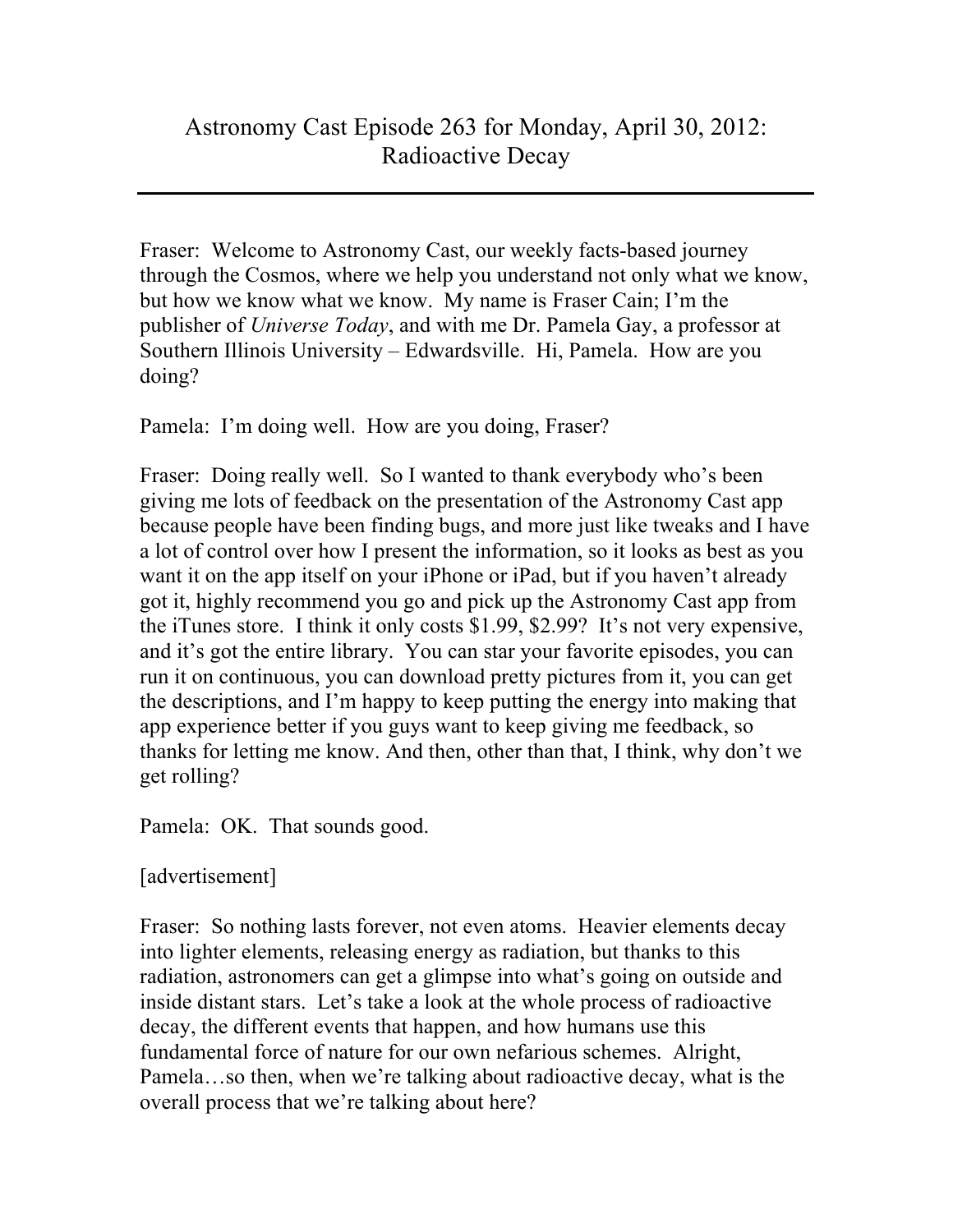Fraser: Welcome to Astronomy Cast, our weekly facts-based journey through the Cosmos, where we help you understand not only what we know, but how we know what we know. My name is Fraser Cain; I'm the publisher of *Universe Today*, and with me Dr. Pamela Gay, a professor at Southern Illinois University – Edwardsville. Hi, Pamela. How are you doing?

Pamela: I'm doing well. How are you doing, Fraser?

Fraser: Doing really well. So I wanted to thank everybody who's been giving me lots of feedback on the presentation of the Astronomy Cast app because people have been finding bugs, and more just like tweaks and I have a lot of control over how I present the information, so it looks as best as you want it on the app itself on your iPhone or iPad, but if you haven't already got it, highly recommend you go and pick up the Astronomy Cast app from the iTunes store. I think it only costs \$1.99, \$2.99? It's not very expensive, and it's got the entire library. You can star your favorite episodes, you can run it on continuous, you can download pretty pictures from it, you can get the descriptions, and I'm happy to keep putting the energy into making that app experience better if you guys want to keep giving me feedback, so thanks for letting me know. And then, other than that, I think, why don't we get rolling?

Pamela: OK. That sounds good.

[advertisement]

Fraser: So nothing lasts forever, not even atoms. Heavier elements decay into lighter elements, releasing energy as radiation, but thanks to this radiation, astronomers can get a glimpse into what's going on outside and inside distant stars. Let's take a look at the whole process of radioactive decay, the different events that happen, and how humans use this fundamental force of nature for our own nefarious schemes. Alright, Pamela…so then, when we're talking about radioactive decay, what is the overall process that we're talking about here?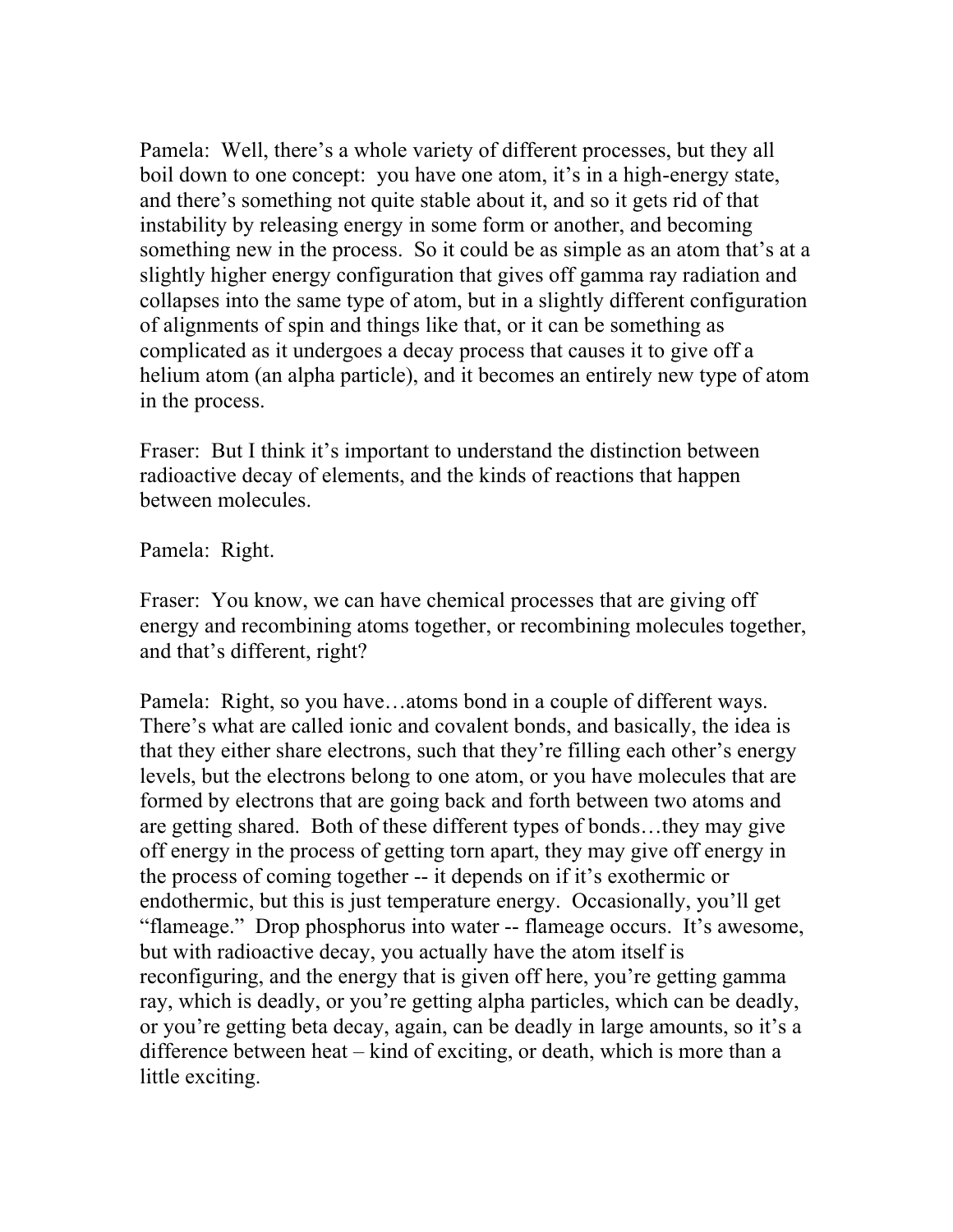Pamela: Well, there's a whole variety of different processes, but they all boil down to one concept: you have one atom, it's in a high-energy state, and there's something not quite stable about it, and so it gets rid of that instability by releasing energy in some form or another, and becoming something new in the process. So it could be as simple as an atom that's at a slightly higher energy configuration that gives off gamma ray radiation and collapses into the same type of atom, but in a slightly different configuration of alignments of spin and things like that, or it can be something as complicated as it undergoes a decay process that causes it to give off a helium atom (an alpha particle), and it becomes an entirely new type of atom in the process.

Fraser: But I think it's important to understand the distinction between radioactive decay of elements, and the kinds of reactions that happen between molecules.

Pamela: Right.

Fraser: You know, we can have chemical processes that are giving off energy and recombining atoms together, or recombining molecules together, and that's different, right?

Pamela: Right, so you have…atoms bond in a couple of different ways. There's what are called ionic and covalent bonds, and basically, the idea is that they either share electrons, such that they're filling each other's energy levels, but the electrons belong to one atom, or you have molecules that are formed by electrons that are going back and forth between two atoms and are getting shared. Both of these different types of bonds…they may give off energy in the process of getting torn apart, they may give off energy in the process of coming together -- it depends on if it's exothermic or endothermic, but this is just temperature energy. Occasionally, you'll get "flameage." Drop phosphorus into water -- flameage occurs. It's awesome, but with radioactive decay, you actually have the atom itself is reconfiguring, and the energy that is given off here, you're getting gamma ray, which is deadly, or you're getting alpha particles, which can be deadly, or you're getting beta decay, again, can be deadly in large amounts, so it's a difference between heat – kind of exciting, or death, which is more than a little exciting.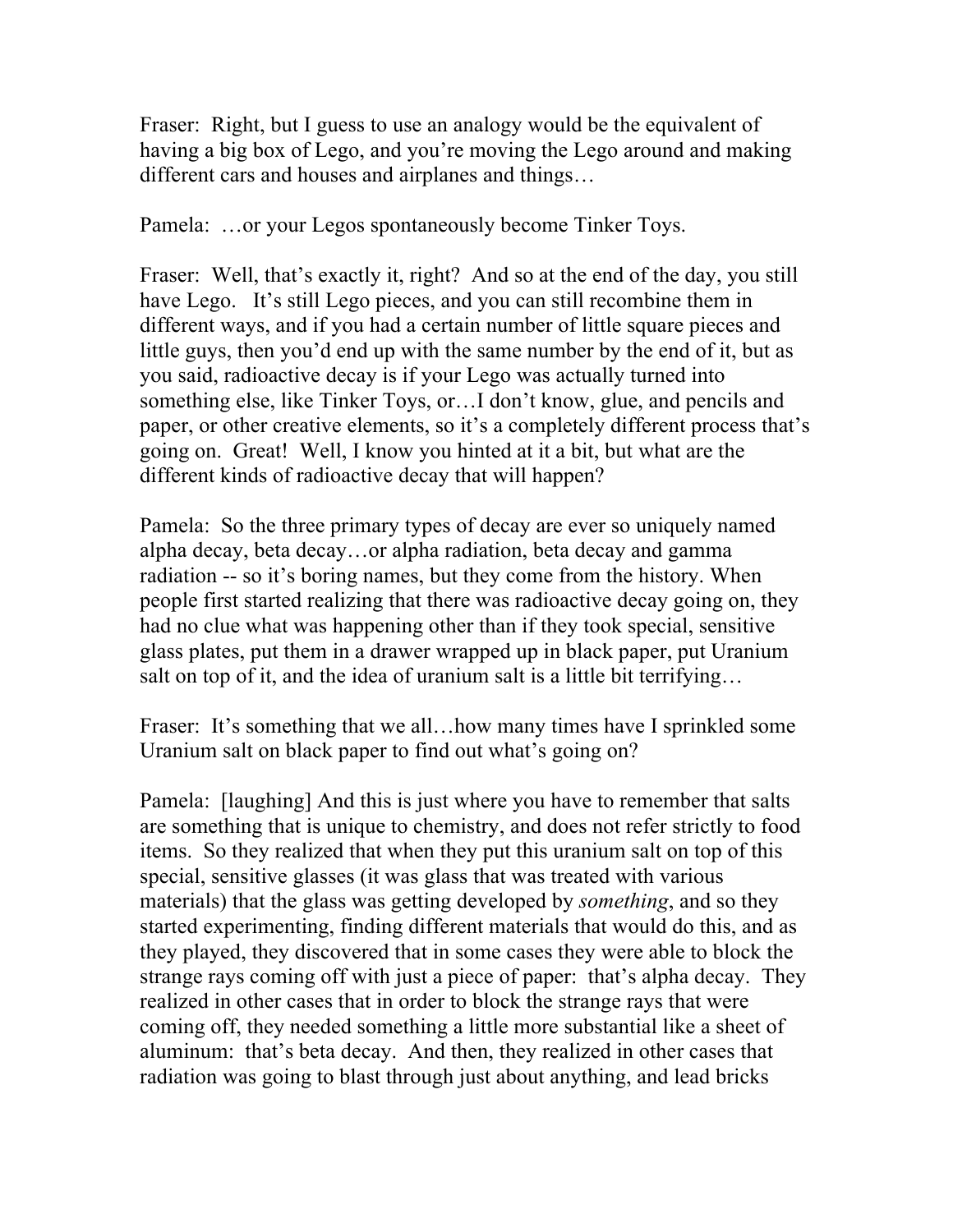Fraser: Right, but I guess to use an analogy would be the equivalent of having a big box of Lego, and you're moving the Lego around and making different cars and houses and airplanes and things…

Pamela: …or your Legos spontaneously become Tinker Toys.

Fraser: Well, that's exactly it, right? And so at the end of the day, you still have Lego. It's still Lego pieces, and you can still recombine them in different ways, and if you had a certain number of little square pieces and little guys, then you'd end up with the same number by the end of it, but as you said, radioactive decay is if your Lego was actually turned into something else, like Tinker Toys, or…I don't know, glue, and pencils and paper, or other creative elements, so it's a completely different process that's going on. Great! Well, I know you hinted at it a bit, but what are the different kinds of radioactive decay that will happen?

Pamela: So the three primary types of decay are ever so uniquely named alpha decay, beta decay…or alpha radiation, beta decay and gamma radiation -- so it's boring names, but they come from the history. When people first started realizing that there was radioactive decay going on, they had no clue what was happening other than if they took special, sensitive glass plates, put them in a drawer wrapped up in black paper, put Uranium salt on top of it, and the idea of uranium salt is a little bit terrifying…

Fraser: It's something that we all... how many times have I sprinkled some Uranium salt on black paper to find out what's going on?

Pamela: [laughing] And this is just where you have to remember that salts are something that is unique to chemistry, and does not refer strictly to food items. So they realized that when they put this uranium salt on top of this special, sensitive glasses (it was glass that was treated with various materials) that the glass was getting developed by *something*, and so they started experimenting, finding different materials that would do this, and as they played, they discovered that in some cases they were able to block the strange rays coming off with just a piece of paper: that's alpha decay. They realized in other cases that in order to block the strange rays that were coming off, they needed something a little more substantial like a sheet of aluminum: that's beta decay. And then, they realized in other cases that radiation was going to blast through just about anything, and lead bricks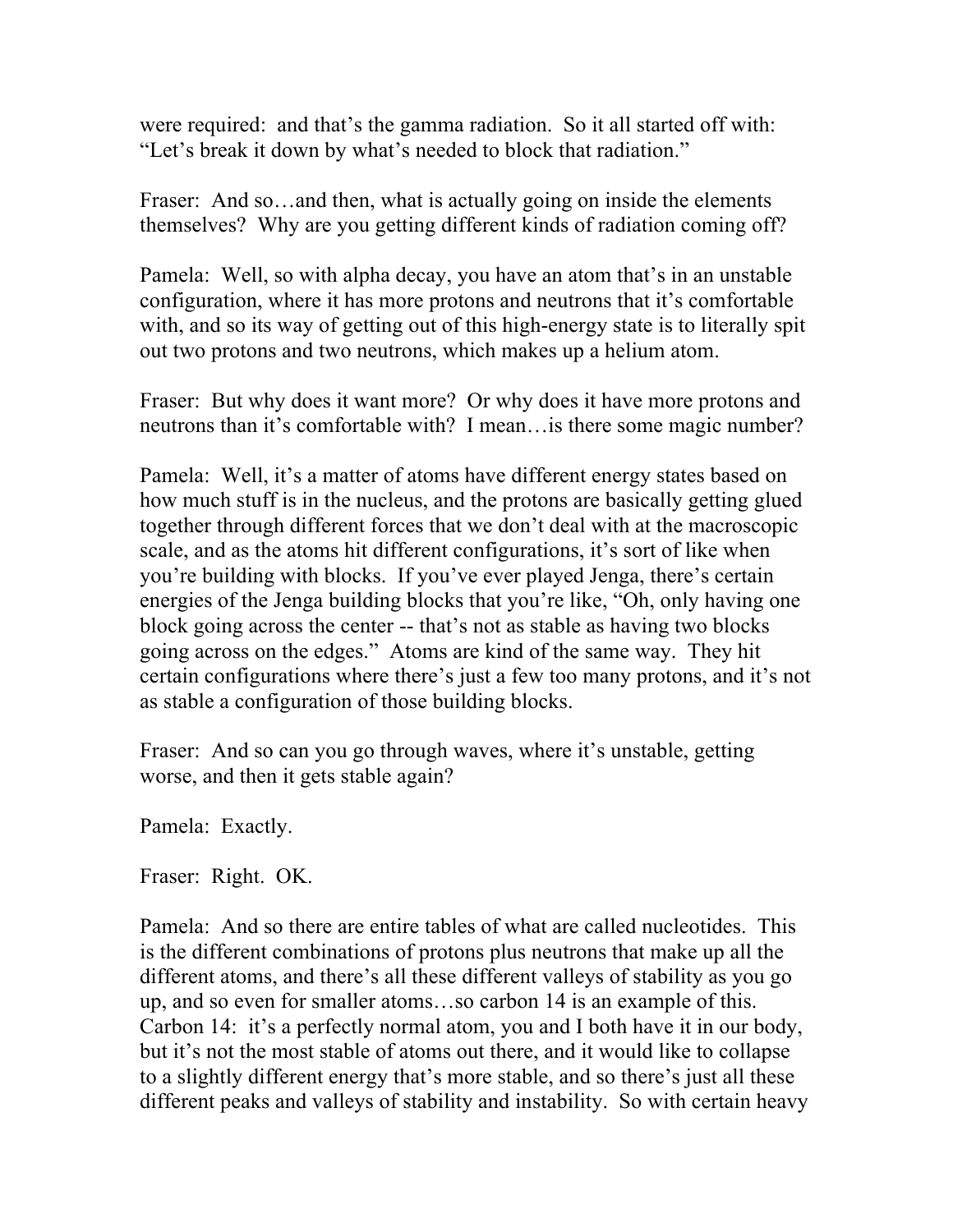were required: and that's the gamma radiation. So it all started off with: "Let's break it down by what's needed to block that radiation."

Fraser: And so...and then, what is actually going on inside the elements themselves? Why are you getting different kinds of radiation coming off?

Pamela: Well, so with alpha decay, you have an atom that's in an unstable configuration, where it has more protons and neutrons that it's comfortable with, and so its way of getting out of this high-energy state is to literally spit out two protons and two neutrons, which makes up a helium atom.

Fraser: But why does it want more? Or why does it have more protons and neutrons than it's comfortable with? I mean…is there some magic number?

Pamela: Well, it's a matter of atoms have different energy states based on how much stuff is in the nucleus, and the protons are basically getting glued together through different forces that we don't deal with at the macroscopic scale, and as the atoms hit different configurations, it's sort of like when you're building with blocks. If you've ever played Jenga, there's certain energies of the Jenga building blocks that you're like, "Oh, only having one block going across the center -- that's not as stable as having two blocks going across on the edges." Atoms are kind of the same way. They hit certain configurations where there's just a few too many protons, and it's not as stable a configuration of those building blocks.

Fraser: And so can you go through waves, where it's unstable, getting worse, and then it gets stable again?

Pamela: Exactly.

Fraser: Right. OK.

Pamela: And so there are entire tables of what are called nucleotides. This is the different combinations of protons plus neutrons that make up all the different atoms, and there's all these different valleys of stability as you go up, and so even for smaller atoms…so carbon 14 is an example of this. Carbon 14: it's a perfectly normal atom, you and I both have it in our body, but it's not the most stable of atoms out there, and it would like to collapse to a slightly different energy that's more stable, and so there's just all these different peaks and valleys of stability and instability. So with certain heavy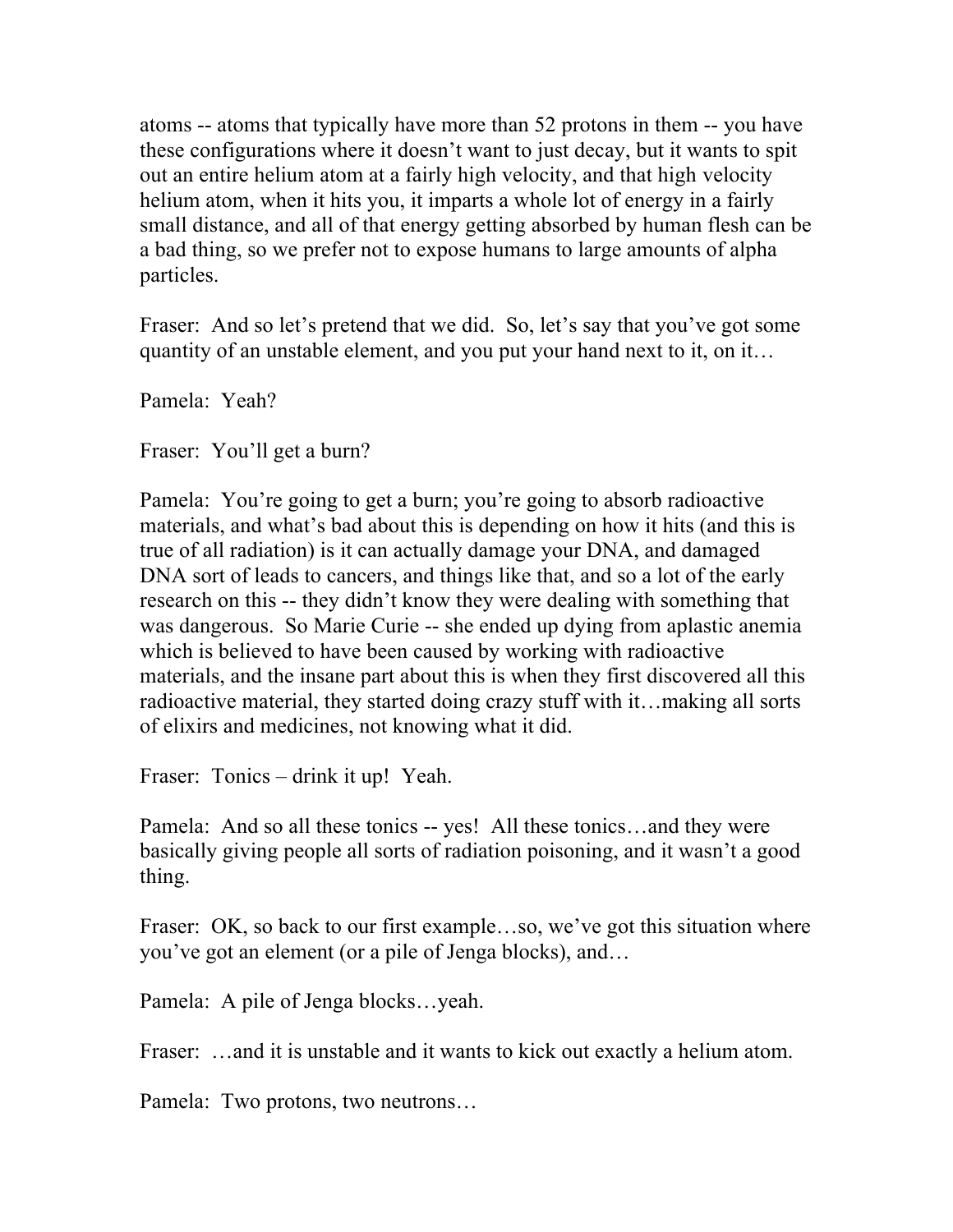atoms -- atoms that typically have more than 52 protons in them -- you have these configurations where it doesn't want to just decay, but it wants to spit out an entire helium atom at a fairly high velocity, and that high velocity helium atom, when it hits you, it imparts a whole lot of energy in a fairly small distance, and all of that energy getting absorbed by human flesh can be a bad thing, so we prefer not to expose humans to large amounts of alpha particles.

Fraser: And so let's pretend that we did. So, let's say that you've got some quantity of an unstable element, and you put your hand next to it, on it…

Pamela: Yeah?

Fraser: You'll get a burn?

Pamela: You're going to get a burn; you're going to absorb radioactive materials, and what's bad about this is depending on how it hits (and this is true of all radiation) is it can actually damage your DNA, and damaged DNA sort of leads to cancers, and things like that, and so a lot of the early research on this -- they didn't know they were dealing with something that was dangerous. So Marie Curie -- she ended up dying from aplastic anemia which is believed to have been caused by working with radioactive materials, and the insane part about this is when they first discovered all this radioactive material, they started doing crazy stuff with it…making all sorts of elixirs and medicines, not knowing what it did.

Fraser: Tonics – drink it up! Yeah.

Pamela: And so all these tonics -- yes! All these tonics…and they were basically giving people all sorts of radiation poisoning, and it wasn't a good thing.

Fraser: OK, so back to our first example...so, we've got this situation where you've got an element (or a pile of Jenga blocks), and…

Pamela: A pile of Jenga blocks…yeah.

Fraser: ...and it is unstable and it wants to kick out exactly a helium atom.

Pamela: Two protons, two neutrons…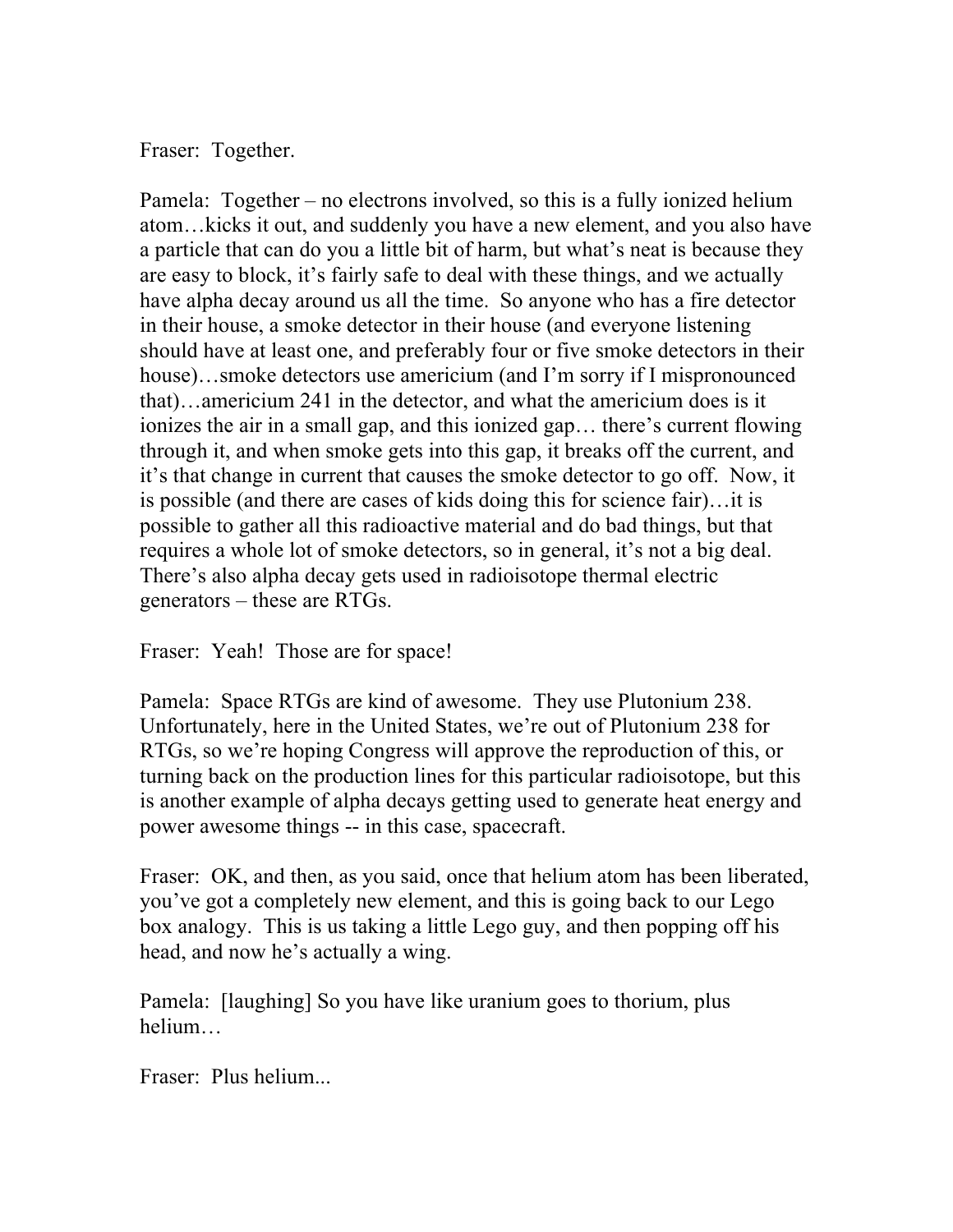Fraser: Together.

Pamela: Together – no electrons involved, so this is a fully ionized helium atom…kicks it out, and suddenly you have a new element, and you also have a particle that can do you a little bit of harm, but what's neat is because they are easy to block, it's fairly safe to deal with these things, and we actually have alpha decay around us all the time. So anyone who has a fire detector in their house, a smoke detector in their house (and everyone listening should have at least one, and preferably four or five smoke detectors in their house)…smoke detectors use americium (and I'm sorry if I mispronounced that)…americium 241 in the detector, and what the americium does is it ionizes the air in a small gap, and this ionized gap… there's current flowing through it, and when smoke gets into this gap, it breaks off the current, and it's that change in current that causes the smoke detector to go off. Now, it is possible (and there are cases of kids doing this for science fair)…it is possible to gather all this radioactive material and do bad things, but that requires a whole lot of smoke detectors, so in general, it's not a big deal. There's also alpha decay gets used in radioisotope thermal electric generators – these are RTGs.

Fraser: Yeah! Those are for space!

Pamela: Space RTGs are kind of awesome. They use Plutonium 238. Unfortunately, here in the United States, we're out of Plutonium 238 for RTGs, so we're hoping Congress will approve the reproduction of this, or turning back on the production lines for this particular radioisotope, but this is another example of alpha decays getting used to generate heat energy and power awesome things -- in this case, spacecraft.

Fraser: OK, and then, as you said, once that helium atom has been liberated, you've got a completely new element, and this is going back to our Lego box analogy. This is us taking a little Lego guy, and then popping off his head, and now he's actually a wing.

Pamela: [laughing] So you have like uranium goes to thorium, plus helium…

Fraser: Plus helium...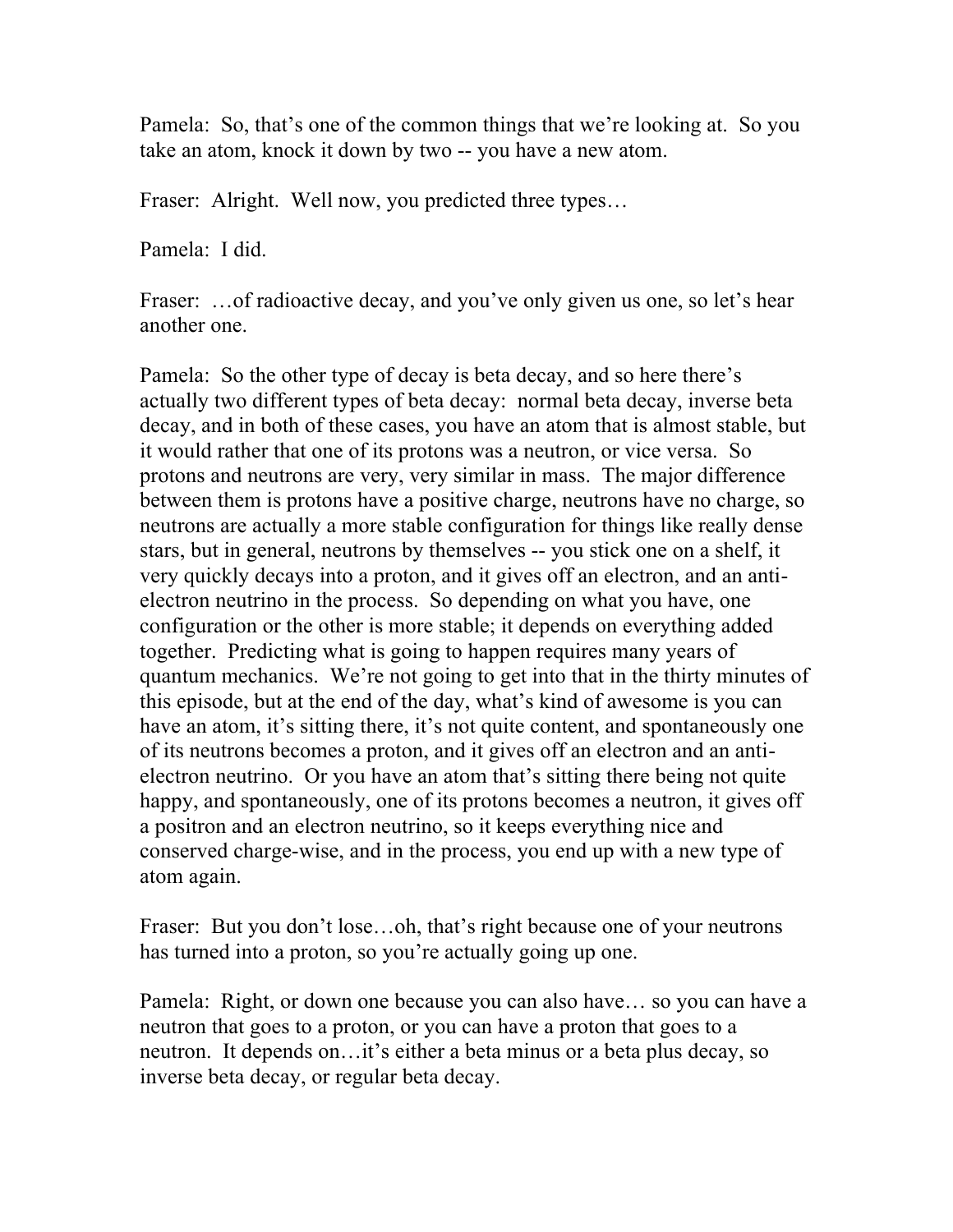Pamela: So, that's one of the common things that we're looking at. So you take an atom, knock it down by two -- you have a new atom.

Fraser: Alright. Well now, you predicted three types…

Pamela: I did.

Fraser: ... of radioactive decay, and you've only given us one, so let's hear another one.

Pamela: So the other type of decay is beta decay, and so here there's actually two different types of beta decay: normal beta decay, inverse beta decay, and in both of these cases, you have an atom that is almost stable, but it would rather that one of its protons was a neutron, or vice versa. So protons and neutrons are very, very similar in mass. The major difference between them is protons have a positive charge, neutrons have no charge, so neutrons are actually a more stable configuration for things like really dense stars, but in general, neutrons by themselves -- you stick one on a shelf, it very quickly decays into a proton, and it gives off an electron, and an antielectron neutrino in the process. So depending on what you have, one configuration or the other is more stable; it depends on everything added together. Predicting what is going to happen requires many years of quantum mechanics. We're not going to get into that in the thirty minutes of this episode, but at the end of the day, what's kind of awesome is you can have an atom, it's sitting there, it's not quite content, and spontaneously one of its neutrons becomes a proton, and it gives off an electron and an antielectron neutrino. Or you have an atom that's sitting there being not quite happy, and spontaneously, one of its protons becomes a neutron, it gives off a positron and an electron neutrino, so it keeps everything nice and conserved charge-wise, and in the process, you end up with a new type of atom again.

Fraser: But you don't lose...oh, that's right because one of your neutrons has turned into a proton, so you're actually going up one.

Pamela: Right, or down one because you can also have… so you can have a neutron that goes to a proton, or you can have a proton that goes to a neutron. It depends on…it's either a beta minus or a beta plus decay, so inverse beta decay, or regular beta decay.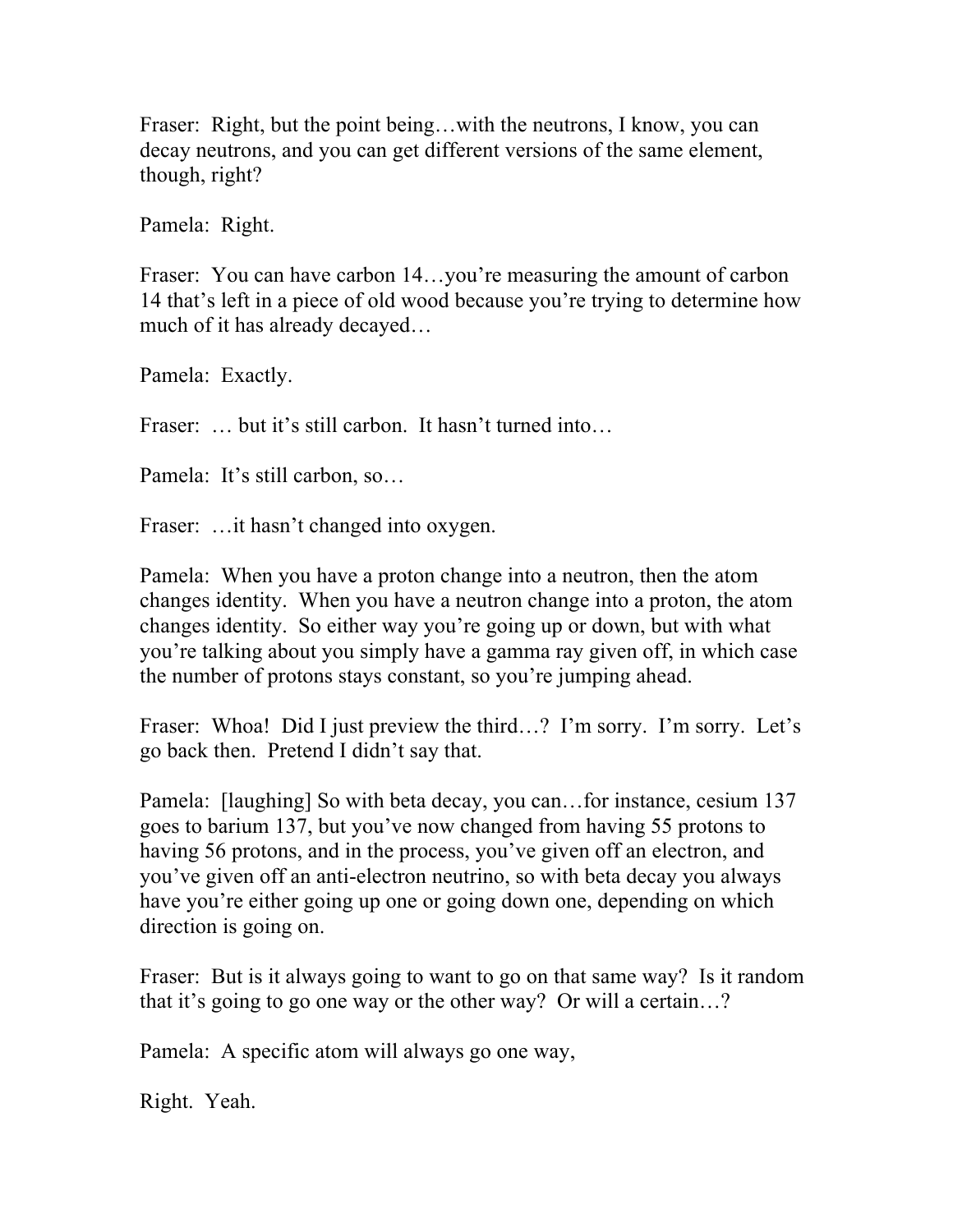Fraser: Right, but the point being...with the neutrons, I know, you can decay neutrons, and you can get different versions of the same element, though, right?

Pamela: Right.

Fraser: You can have carbon 14...you're measuring the amount of carbon 14 that's left in a piece of old wood because you're trying to determine how much of it has already decayed…

Pamela: Exactly.

Fraser: … but it's still carbon. It hasn't turned into…

Pamela: It's still carbon, so…

Fraser: ... it hasn't changed into oxygen.

Pamela: When you have a proton change into a neutron, then the atom changes identity. When you have a neutron change into a proton, the atom changes identity. So either way you're going up or down, but with what you're talking about you simply have a gamma ray given off, in which case the number of protons stays constant, so you're jumping ahead.

Fraser: Whoa! Did I just preview the third...? I'm sorry. I'm sorry. Let's go back then. Pretend I didn't say that.

Pamela: [laughing] So with beta decay, you can…for instance, cesium 137 goes to barium 137, but you've now changed from having 55 protons to having 56 protons, and in the process, you've given off an electron, and you've given off an anti-electron neutrino, so with beta decay you always have you're either going up one or going down one, depending on which direction is going on.

Fraser: But is it always going to want to go on that same way? Is it random that it's going to go one way or the other way? Or will a certain…?

Pamela: A specific atom will always go one way,

Right. Yeah.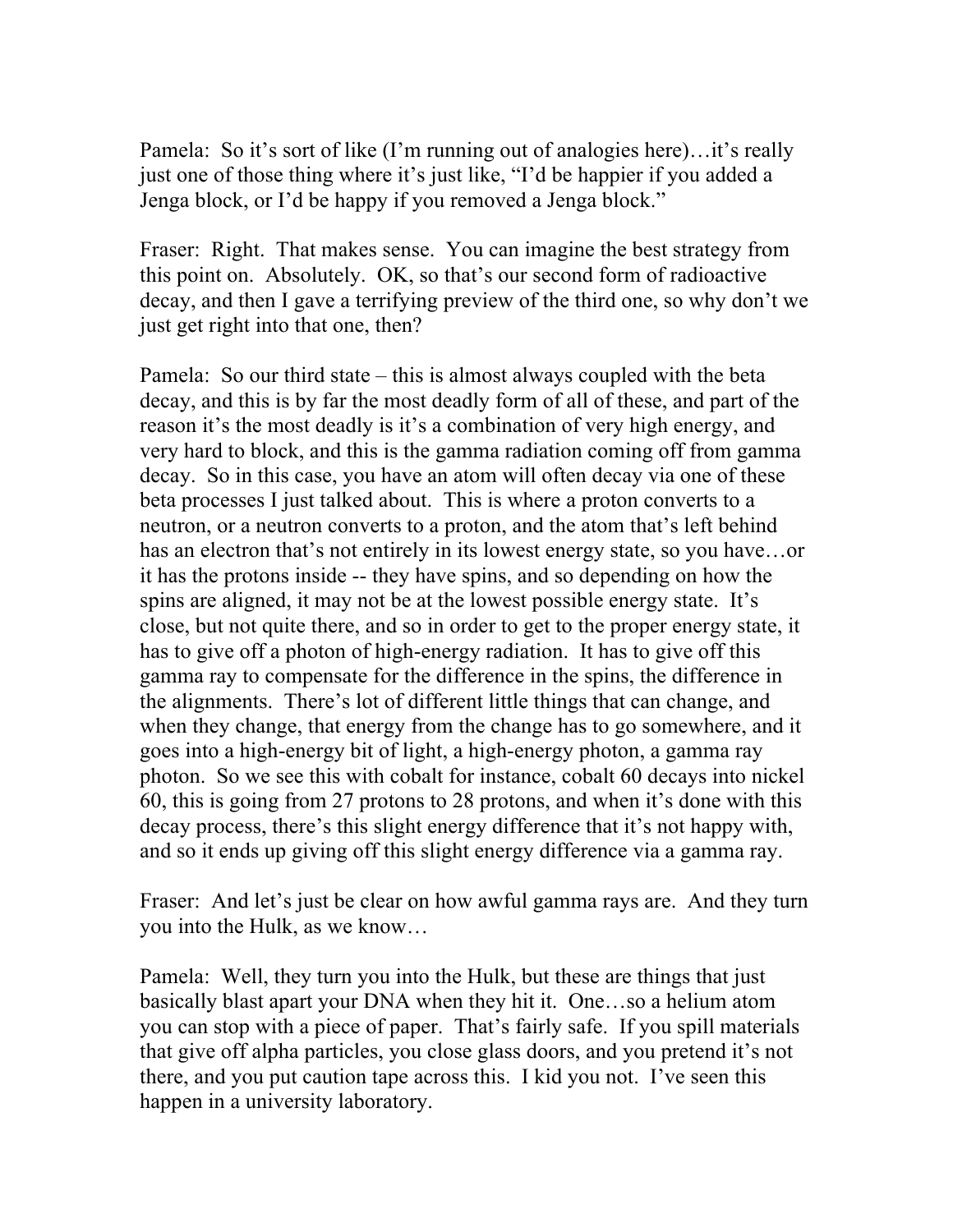Pamela: So it's sort of like (I'm running out of analogies here)…it's really just one of those thing where it's just like, "I'd be happier if you added a Jenga block, or I'd be happy if you removed a Jenga block."

Fraser: Right. That makes sense. You can imagine the best strategy from this point on. Absolutely. OK, so that's our second form of radioactive decay, and then I gave a terrifying preview of the third one, so why don't we just get right into that one, then?

Pamela: So our third state – this is almost always coupled with the beta decay, and this is by far the most deadly form of all of these, and part of the reason it's the most deadly is it's a combination of very high energy, and very hard to block, and this is the gamma radiation coming off from gamma decay. So in this case, you have an atom will often decay via one of these beta processes I just talked about. This is where a proton converts to a neutron, or a neutron converts to a proton, and the atom that's left behind has an electron that's not entirely in its lowest energy state, so you have…or it has the protons inside -- they have spins, and so depending on how the spins are aligned, it may not be at the lowest possible energy state. It's close, but not quite there, and so in order to get to the proper energy state, it has to give off a photon of high-energy radiation. It has to give off this gamma ray to compensate for the difference in the spins, the difference in the alignments. There's lot of different little things that can change, and when they change, that energy from the change has to go somewhere, and it goes into a high-energy bit of light, a high-energy photon, a gamma ray photon. So we see this with cobalt for instance, cobalt 60 decays into nickel 60, this is going from 27 protons to 28 protons, and when it's done with this decay process, there's this slight energy difference that it's not happy with, and so it ends up giving off this slight energy difference via a gamma ray.

Fraser: And let's just be clear on how awful gamma rays are. And they turn you into the Hulk, as we know…

Pamela: Well, they turn you into the Hulk, but these are things that just basically blast apart your DNA when they hit it. One…so a helium atom you can stop with a piece of paper. That's fairly safe. If you spill materials that give off alpha particles, you close glass doors, and you pretend it's not there, and you put caution tape across this. I kid you not. I've seen this happen in a university laboratory.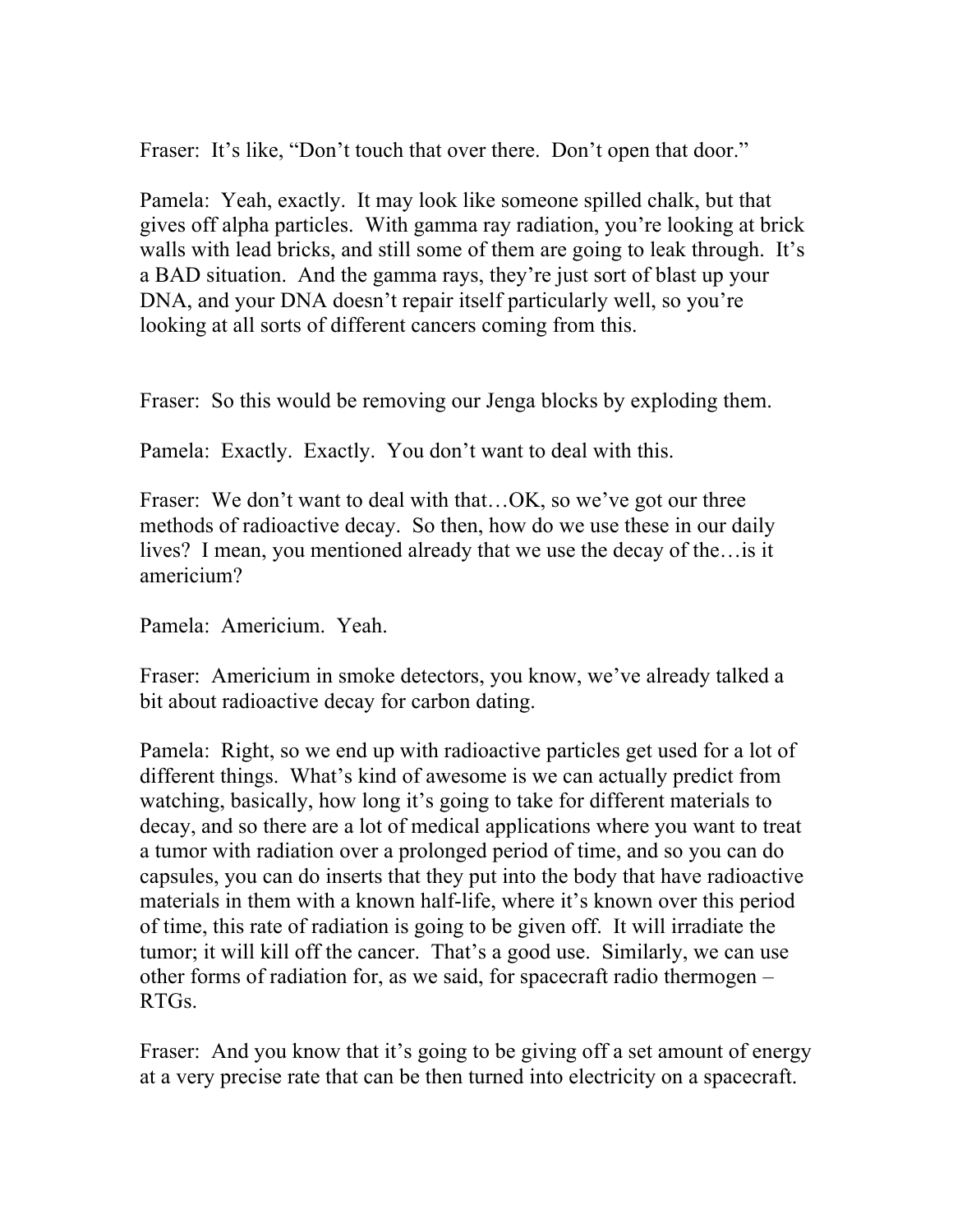Fraser: It's like, "Don't touch that over there. Don't open that door."

Pamela: Yeah, exactly. It may look like someone spilled chalk, but that gives off alpha particles. With gamma ray radiation, you're looking at brick walls with lead bricks, and still some of them are going to leak through. It's a BAD situation. And the gamma rays, they're just sort of blast up your DNA, and your DNA doesn't repair itself particularly well, so you're looking at all sorts of different cancers coming from this.

Fraser: So this would be removing our Jenga blocks by exploding them.

Pamela: Exactly. Exactly. You don't want to deal with this.

Fraser: We don't want to deal with that...OK, so we've got our three methods of radioactive decay. So then, how do we use these in our daily lives? I mean, you mentioned already that we use the decay of the…is it americium?

Pamela: Americium. Yeah.

Fraser: Americium in smoke detectors, you know, we've already talked a bit about radioactive decay for carbon dating.

Pamela: Right, so we end up with radioactive particles get used for a lot of different things. What's kind of awesome is we can actually predict from watching, basically, how long it's going to take for different materials to decay, and so there are a lot of medical applications where you want to treat a tumor with radiation over a prolonged period of time, and so you can do capsules, you can do inserts that they put into the body that have radioactive materials in them with a known half-life, where it's known over this period of time, this rate of radiation is going to be given off. It will irradiate the tumor; it will kill off the cancer. That's a good use. Similarly, we can use other forms of radiation for, as we said, for spacecraft radio thermogen – RTGs.

Fraser: And you know that it's going to be giving off a set amount of energy at a very precise rate that can be then turned into electricity on a spacecraft.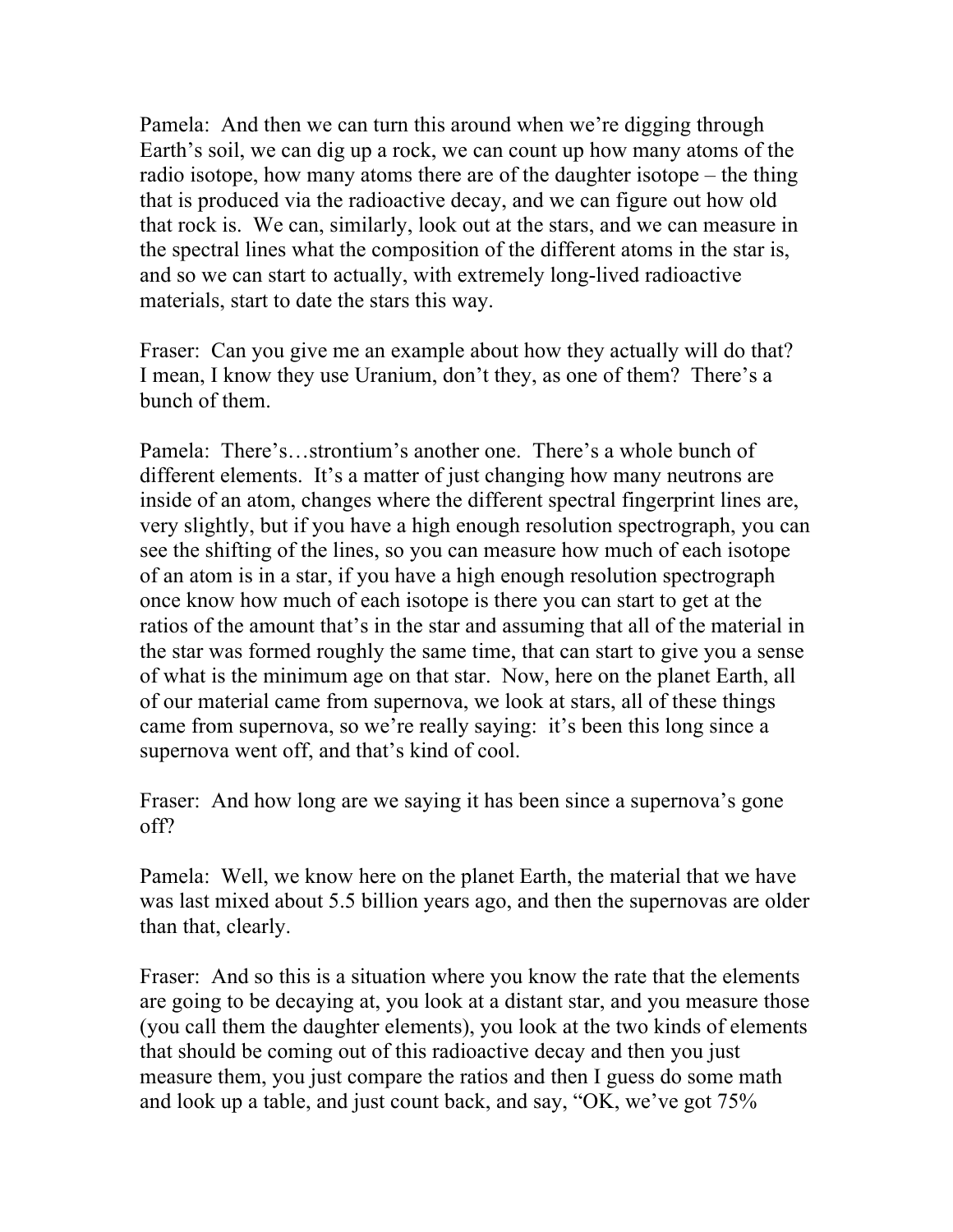Pamela: And then we can turn this around when we're digging through Earth's soil, we can dig up a rock, we can count up how many atoms of the radio isotope, how many atoms there are of the daughter isotope – the thing that is produced via the radioactive decay, and we can figure out how old that rock is. We can, similarly, look out at the stars, and we can measure in the spectral lines what the composition of the different atoms in the star is, and so we can start to actually, with extremely long-lived radioactive materials, start to date the stars this way.

Fraser: Can you give me an example about how they actually will do that? I mean, I know they use Uranium, don't they, as one of them? There's a bunch of them.

Pamela: There's…strontium's another one. There's a whole bunch of different elements. It's a matter of just changing how many neutrons are inside of an atom, changes where the different spectral fingerprint lines are, very slightly, but if you have a high enough resolution spectrograph, you can see the shifting of the lines, so you can measure how much of each isotope of an atom is in a star, if you have a high enough resolution spectrograph once know how much of each isotope is there you can start to get at the ratios of the amount that's in the star and assuming that all of the material in the star was formed roughly the same time, that can start to give you a sense of what is the minimum age on that star. Now, here on the planet Earth, all of our material came from supernova, we look at stars, all of these things came from supernova, so we're really saying: it's been this long since a supernova went off, and that's kind of cool.

Fraser: And how long are we saying it has been since a supernova's gone off?

Pamela: Well, we know here on the planet Earth, the material that we have was last mixed about 5.5 billion years ago, and then the supernovas are older than that, clearly.

Fraser: And so this is a situation where you know the rate that the elements are going to be decaying at, you look at a distant star, and you measure those (you call them the daughter elements), you look at the two kinds of elements that should be coming out of this radioactive decay and then you just measure them, you just compare the ratios and then I guess do some math and look up a table, and just count back, and say, "OK, we've got 75%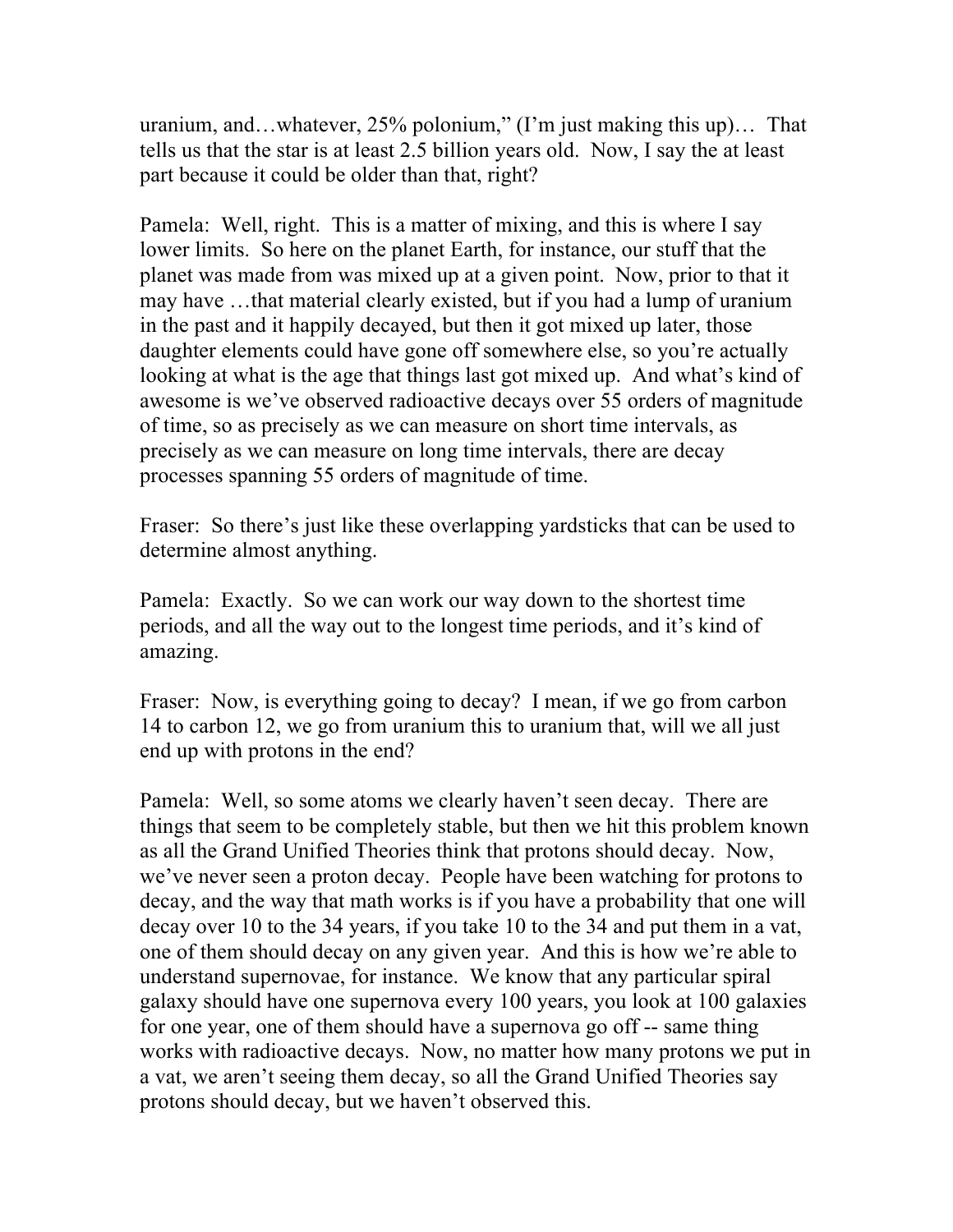uranium, and…whatever, 25% polonium," (I'm just making this up)… That tells us that the star is at least 2.5 billion years old. Now, I say the at least part because it could be older than that, right?

Pamela: Well, right. This is a matter of mixing, and this is where I say lower limits. So here on the planet Earth, for instance, our stuff that the planet was made from was mixed up at a given point. Now, prior to that it may have …that material clearly existed, but if you had a lump of uranium in the past and it happily decayed, but then it got mixed up later, those daughter elements could have gone off somewhere else, so you're actually looking at what is the age that things last got mixed up. And what's kind of awesome is we've observed radioactive decays over 55 orders of magnitude of time, so as precisely as we can measure on short time intervals, as precisely as we can measure on long time intervals, there are decay processes spanning 55 orders of magnitude of time.

Fraser: So there's just like these overlapping yardsticks that can be used to determine almost anything.

Pamela: Exactly. So we can work our way down to the shortest time periods, and all the way out to the longest time periods, and it's kind of amazing.

Fraser: Now, is everything going to decay? I mean, if we go from carbon 14 to carbon 12, we go from uranium this to uranium that, will we all just end up with protons in the end?

Pamela: Well, so some atoms we clearly haven't seen decay. There are things that seem to be completely stable, but then we hit this problem known as all the Grand Unified Theories think that protons should decay. Now, we've never seen a proton decay. People have been watching for protons to decay, and the way that math works is if you have a probability that one will decay over 10 to the 34 years, if you take 10 to the 34 and put them in a vat, one of them should decay on any given year. And this is how we're able to understand supernovae, for instance. We know that any particular spiral galaxy should have one supernova every 100 years, you look at 100 galaxies for one year, one of them should have a supernova go off -- same thing works with radioactive decays. Now, no matter how many protons we put in a vat, we aren't seeing them decay, so all the Grand Unified Theories say protons should decay, but we haven't observed this.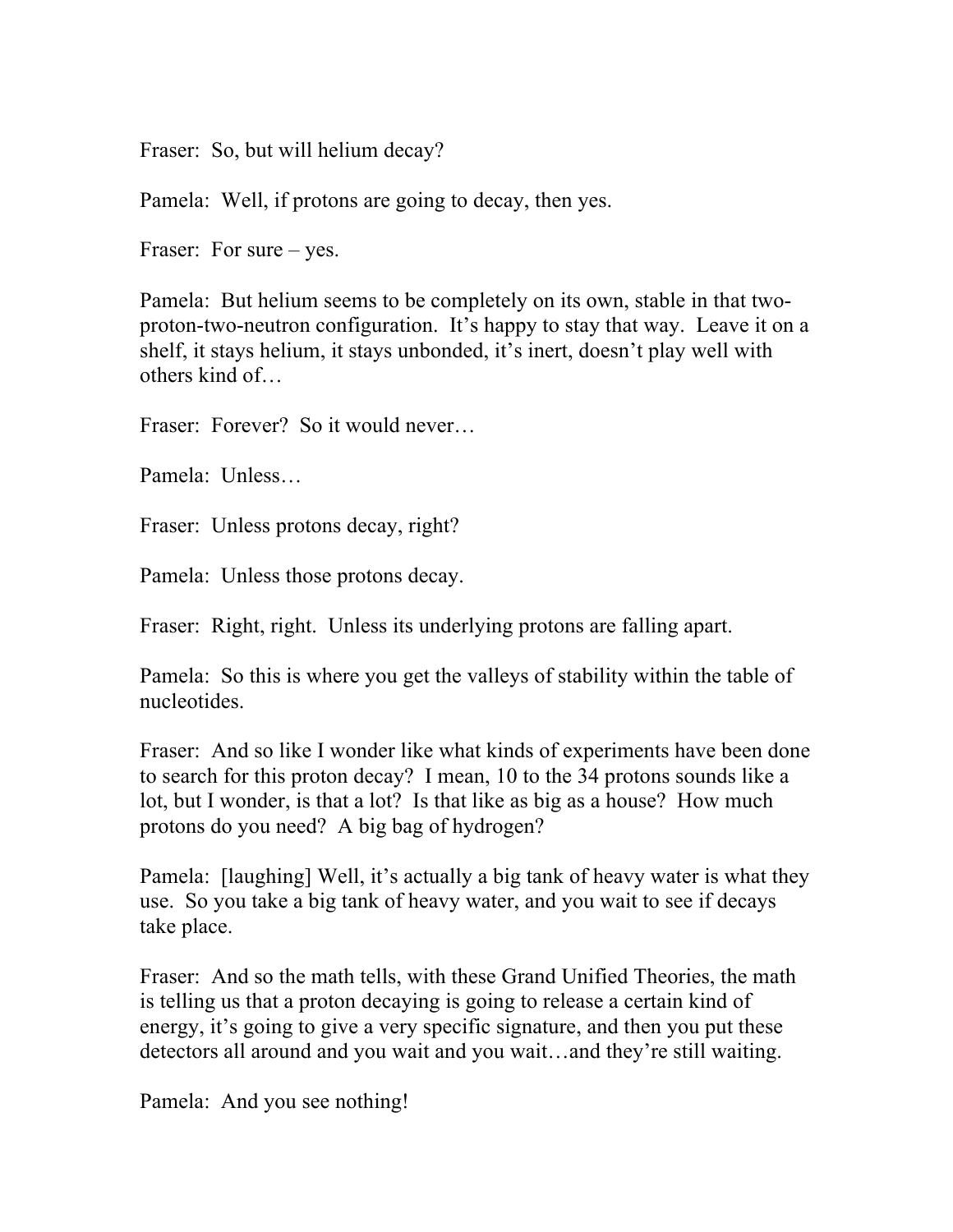Fraser: So, but will helium decay?

Pamela: Well, if protons are going to decay, then yes.

Fraser: For sure – yes.

Pamela: But helium seems to be completely on its own, stable in that twoproton-two-neutron configuration. It's happy to stay that way. Leave it on a shelf, it stays helium, it stays unbonded, it's inert, doesn't play well with others kind of…

Fraser: Forever? So it would never...

Pamela: Unless…

Fraser: Unless protons decay, right?

Pamela: Unless those protons decay.

Fraser: Right, right. Unless its underlying protons are falling apart.

Pamela: So this is where you get the valleys of stability within the table of nucleotides.

Fraser: And so like I wonder like what kinds of experiments have been done to search for this proton decay? I mean, 10 to the 34 protons sounds like a lot, but I wonder, is that a lot? Is that like as big as a house? How much protons do you need? A big bag of hydrogen?

Pamela: [laughing] Well, it's actually a big tank of heavy water is what they use. So you take a big tank of heavy water, and you wait to see if decays take place.

Fraser: And so the math tells, with these Grand Unified Theories, the math is telling us that a proton decaying is going to release a certain kind of energy, it's going to give a very specific signature, and then you put these detectors all around and you wait and you wait…and they're still waiting.

Pamela: And you see nothing!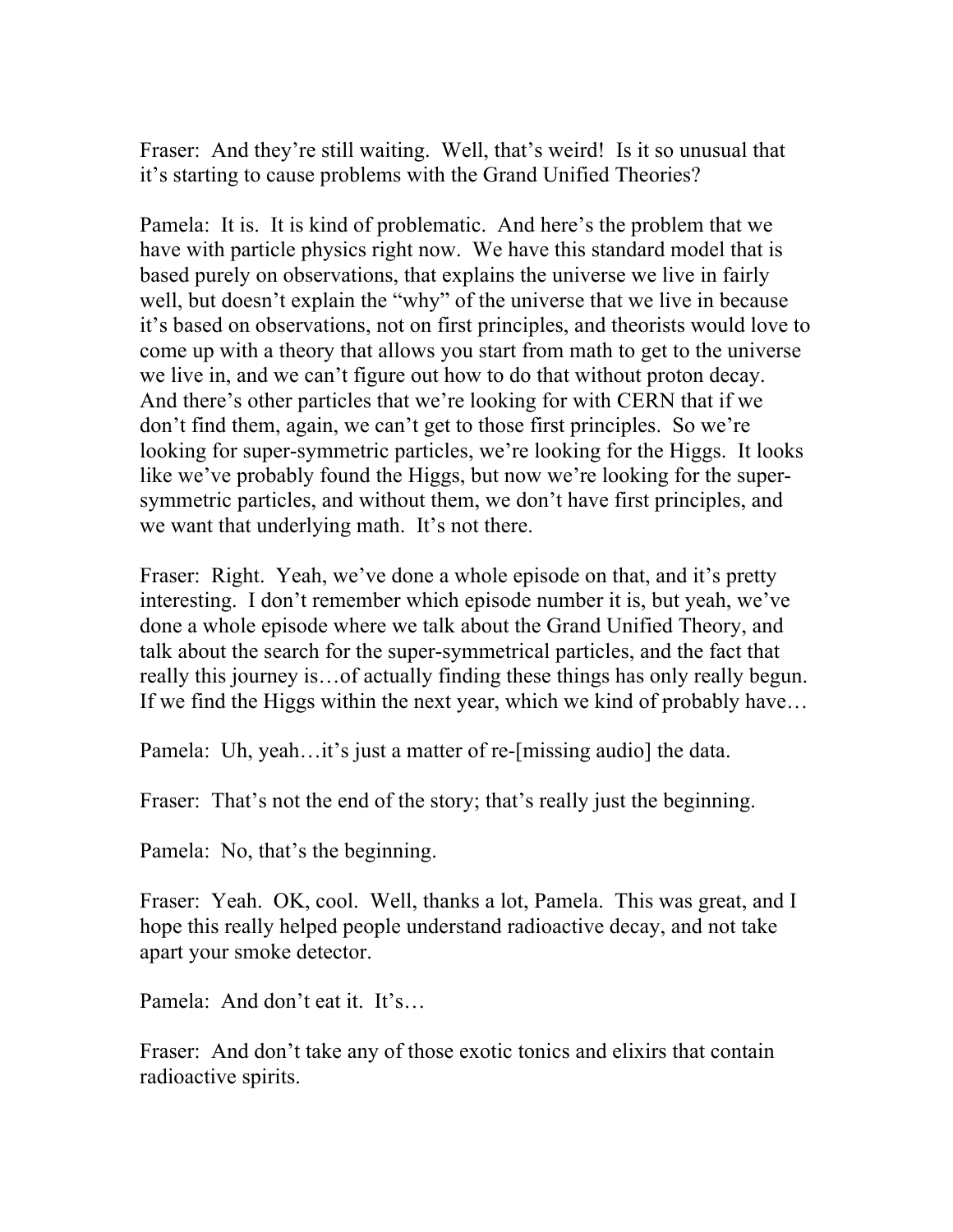Fraser: And they're still waiting. Well, that's weird! Is it so unusual that it's starting to cause problems with the Grand Unified Theories?

Pamela: It is. It is kind of problematic. And here's the problem that we have with particle physics right now. We have this standard model that is based purely on observations, that explains the universe we live in fairly well, but doesn't explain the "why" of the universe that we live in because it's based on observations, not on first principles, and theorists would love to come up with a theory that allows you start from math to get to the universe we live in, and we can't figure out how to do that without proton decay. And there's other particles that we're looking for with CERN that if we don't find them, again, we can't get to those first principles. So we're looking for super-symmetric particles, we're looking for the Higgs. It looks like we've probably found the Higgs, but now we're looking for the supersymmetric particles, and without them, we don't have first principles, and we want that underlying math. It's not there.

Fraser: Right. Yeah, we've done a whole episode on that, and it's pretty interesting. I don't remember which episode number it is, but yeah, we've done a whole episode where we talk about the Grand Unified Theory, and talk about the search for the super-symmetrical particles, and the fact that really this journey is…of actually finding these things has only really begun. If we find the Higgs within the next year, which we kind of probably have…

Pamela: Uh, yeah…it's just a matter of re-[missing audio] the data.

Fraser: That's not the end of the story; that's really just the beginning.

Pamela: No, that's the beginning.

Fraser: Yeah. OK, cool. Well, thanks a lot, Pamela. This was great, and I hope this really helped people understand radioactive decay, and not take apart your smoke detector.

Pamela: And don't eat it. It's…

Fraser: And don't take any of those exotic tonics and elixirs that contain radioactive spirits.